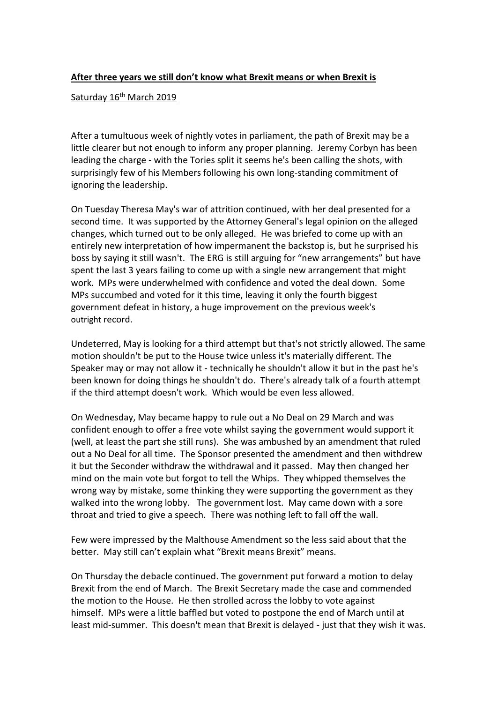## **After three years we still don't know what Brexit means or when Brexit is**

## Saturday 16<sup>th</sup> March 2019

After a tumultuous week of nightly votes in parliament, the path of Brexit may be a little clearer but not enough to inform any proper planning. Jeremy Corbyn has been leading the charge - with the Tories split it seems he's been calling the shots, with surprisingly few of his Members following his own long-standing commitment of ignoring the leadership.

On Tuesday Theresa May's war of attrition continued, with her deal presented for a second time. It was supported by the Attorney General's legal opinion on the alleged changes, which turned out to be only alleged. He was briefed to come up with an entirely new interpretation of how impermanent the backstop is, but he surprised his boss by saying it still wasn't. The ERG is still arguing for "new arrangements" but have spent the last 3 years failing to come up with a single new arrangement that might work. MPs were underwhelmed with confidence and voted the deal down. Some MPs succumbed and voted for it this time, leaving it only the fourth biggest government defeat in history, a huge improvement on the previous week's outright record.

Undeterred, May is looking for a third attempt but that's not strictly allowed. The same motion shouldn't be put to the House twice unless it's materially different. The Speaker may or may not allow it - technically he shouldn't allow it but in the past he's been known for doing things he shouldn't do. There's already talk of a fourth attempt if the third attempt doesn't work. Which would be even less allowed.

On Wednesday, May became happy to rule out a No Deal on 29 March and was confident enough to offer a free vote whilst saying the government would support it (well, at least the part she still runs). She was ambushed by an amendment that ruled out a No Deal for all time. The Sponsor presented the amendment and then withdrew it but the Seconder withdraw the withdrawal and it passed. May then changed her mind on the main vote but forgot to tell the Whips. They whipped themselves the wrong way by mistake, some thinking they were supporting the government as they walked into the wrong lobby. The government lost. May came down with a sore throat and tried to give a speech. There was nothing left to fall off the wall.

Few were impressed by the Malthouse Amendment so the less said about that the better. May still can't explain what "Brexit means Brexit" means.

On Thursday the debacle continued. The government put forward a motion to delay Brexit from the end of March. The Brexit Secretary made the case and commended the motion to the House. He then strolled across the lobby to vote against himself. MPs were a little baffled but voted to postpone the end of March until at least mid-summer. This doesn't mean that Brexit is delayed - just that they wish it was.